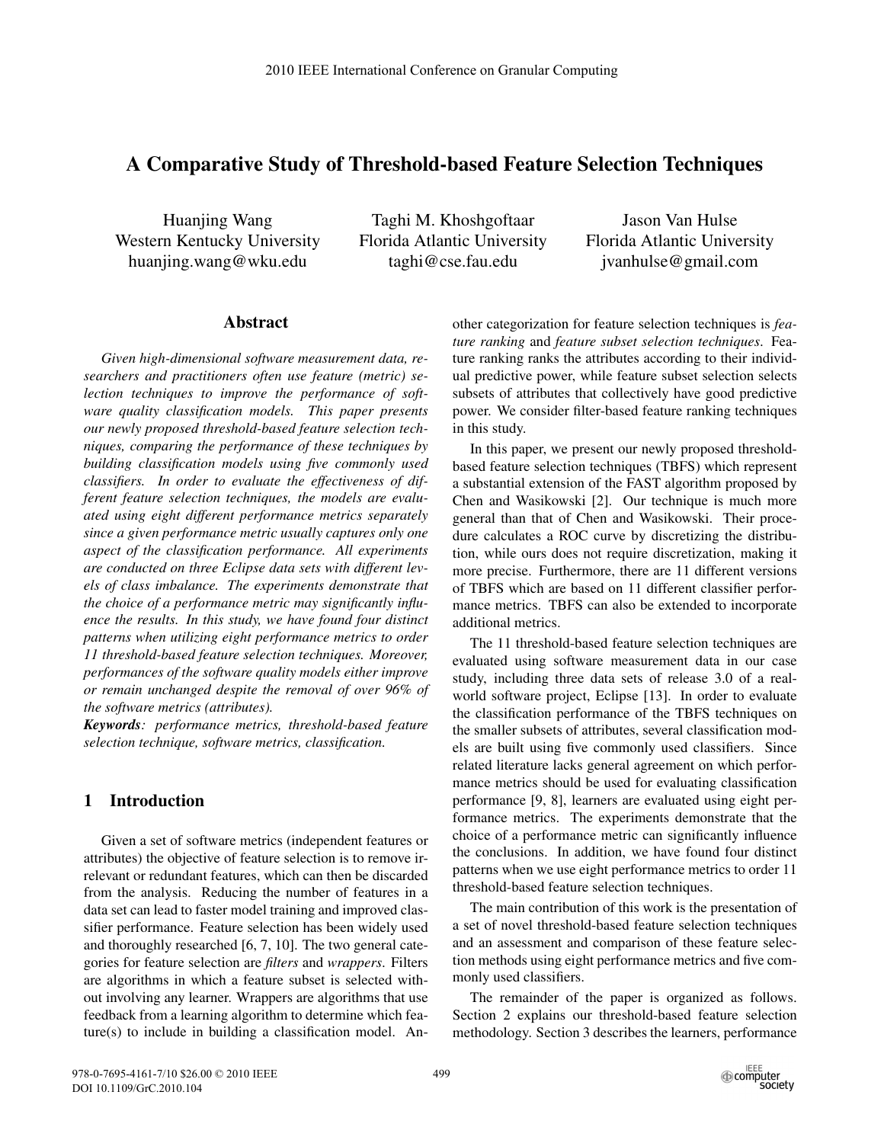# A Comparative Study of Threshold-based Feature Selection Techniques

Huanjing Wang Western Kentucky University huanjing.wang@wku.edu

Taghi M. Khoshgoftaar Florida Atlantic University taghi@cse.fau.edu

Jason Van Hulse Florida Atlantic University jvanhulse@gmail.com

#### Abstract

*Given high-dimensional software measurement data, researchers and practitioners often use feature (metric) selection techniques to improve the performance of software quality classification models. This paper presents our newly proposed threshold-based feature selection techniques, comparing the performance of these techniques by building classification models using five commonly used classifiers. In order to evaluate the effectiveness of different feature selection techniques, the models are evaluated using eight different performance metrics separately since a given performance metric usually captures only one aspect of the classification performance. All experiments are conducted on three Eclipse data sets with different levels of class imbalance. The experiments demonstrate that the choice of a performance metric may significantly influence the results. In this study, we have found four distinct patterns when utilizing eight performance metrics to order 11 threshold-based feature selection techniques. Moreover, performances of the software quality models either improve or remain unchanged despite the removal of over 96% of the software metrics (attributes).*

*Keywords: performance metrics, threshold-based feature selection technique, software metrics, classification.*

## 1 Introduction

Given a set of software metrics (independent features or attributes) the objective of feature selection is to remove irrelevant or redundant features, which can then be discarded from the analysis. Reducing the number of features in a data set can lead to faster model training and improved classifier performance. Feature selection has been widely used and thoroughly researched [6, 7, 10]. The two general categories for feature selection are *filters* and *wrappers*. Filters are algorithms in which a feature subset is selected without involving any learner. Wrappers are algorithms that use feedback from a learning algorithm to determine which feature(s) to include in building a classification model. Another categorization for feature selection techniques is *feature ranking* and *feature subset selection techniques*. Feature ranking ranks the attributes according to their individual predictive power, while feature subset selection selects subsets of attributes that collectively have good predictive power. We consider filter-based feature ranking techniques in this study.

In this paper, we present our newly proposed thresholdbased feature selection techniques (TBFS) which represent a substantial extension of the FAST algorithm proposed by Chen and Wasikowski [2]. Our technique is much more general than that of Chen and Wasikowski. Their procedure calculates a ROC curve by discretizing the distribution, while ours does not require discretization, making it more precise. Furthermore, there are 11 different versions of TBFS which are based on 11 different classifier performance metrics. TBFS can also be extended to incorporate additional metrics.

The 11 threshold-based feature selection techniques are evaluated using software measurement data in our case study, including three data sets of release 3.0 of a realworld software project, Eclipse [13]. In order to evaluate the classification performance of the TBFS techniques on the smaller subsets of attributes, several classification models are built using five commonly used classifiers. Since related literature lacks general agreement on which performance metrics should be used for evaluating classification performance [9, 8], learners are evaluated using eight performance metrics. The experiments demonstrate that the choice of a performance metric can significantly influence the conclusions. In addition, we have found four distinct patterns when we use eight performance metrics to order 11 threshold-based feature selection techniques.

The main contribution of this work is the presentation of a set of novel threshold-based feature selection techniques and an assessment and comparison of these feature selection methods using eight performance metrics and five commonly used classifiers.

The remainder of the paper is organized as follows. Section 2 explains our threshold-based feature selection methodology. Section 3 describes the learners, performance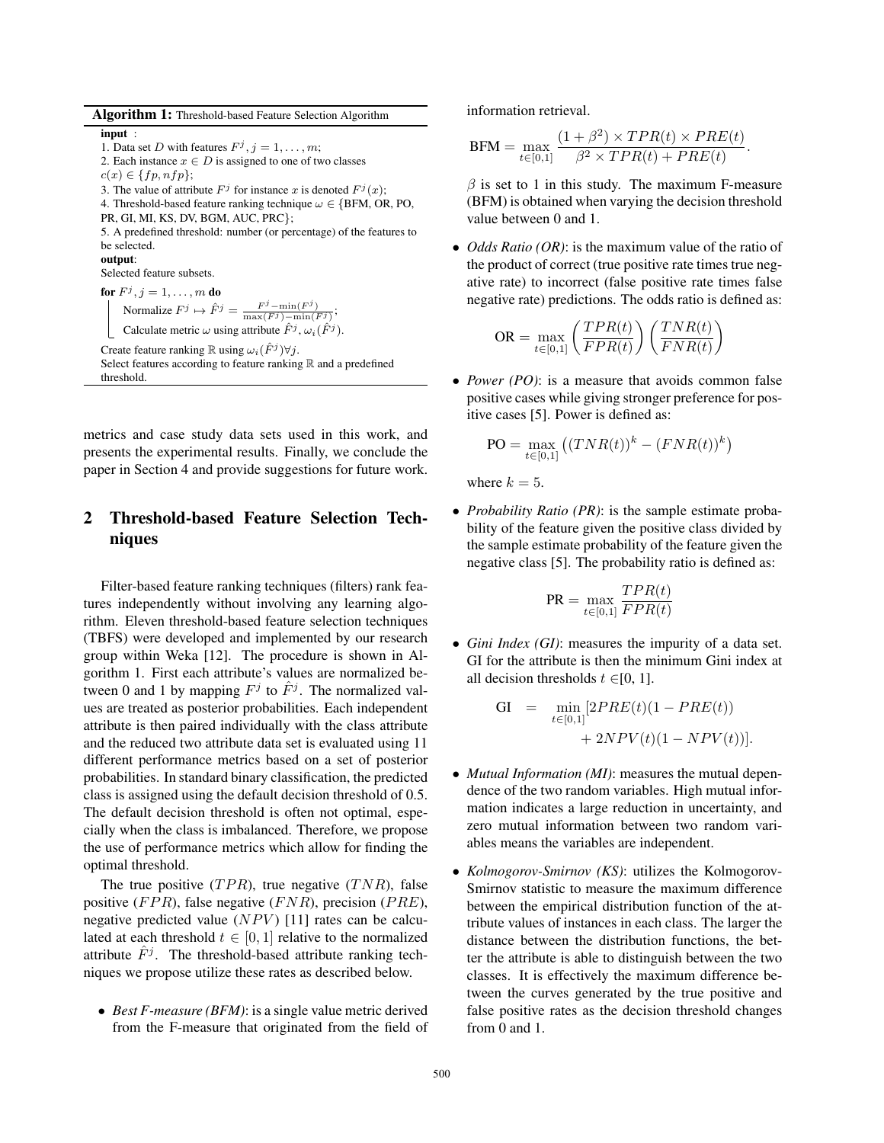| Algorithm 1: Threshold-based Feature Selection Algorithm |  |  |
|----------------------------------------------------------|--|--|
|----------------------------------------------------------|--|--|

input :

1. Data set D with features  $F^j$ ,  $j = 1, \ldots, m$ ; 2. Each instance  $x \in D$  is assigned to one of two classes

 $c(x) \in \{fp, nfp\};$ 

3. The value of attribute  $F^j$  for instance x is denoted  $F^j(x)$ ;

4. Threshold-based feature ranking technique  $\omega \in \{BFM, OR, PO,$ 

PR, GI, MI, KS, DV, BGM, AUC, PRC};

5. A predefined threshold: number (or percentage) of the features to be selected.

output:

Selected feature subsets.

for  $F^j, j = 1, \ldots, m$  do Normalize  $F^j \mapsto \hat{F}^j = \frac{F^j - \min(F^j)}{\max(F^j) - \min(F^j)};$  $F^j$  – min( $F^j$ )

Calculate metric  $\omega$  using attribute  $\hat{F}^j$ ,  $\omega_i(\hat{F}^j)$ .

Create feature ranking  $\mathbb R$  using  $\omega_i(\hat{F}^j) \forall j$ .

Select features according to feature ranking  $\mathbb R$  and a predefined threshold.

metrics and case study data sets used in this work, and presents the experimental results. Finally, we conclude the paper in Section 4 and provide suggestions for future work.

## 2 Threshold-based Feature Selection Techniques

Filter-based feature ranking techniques (filters) rank features independently without involving any learning algorithm. Eleven threshold-based feature selection techniques (TBFS) were developed and implemented by our research group within Weka [12]. The procedure is shown in Algorithm 1. First each attribute's values are normalized between 0 and 1 by mapping  $F^j$  to  $\hat{F}^j$ . The normalized values are treated as posterior probabilities. Each independent attribute is then paired individually with the class attribute and the reduced two attribute data set is evaluated using 11 different performance metrics based on a set of posterior probabilities. In standard binary classification, the predicted class is assigned using the default decision threshold of 0.5. The default decision threshold is often not optimal, especially when the class is imbalanced. Therefore, we propose the use of performance metrics which allow for finding the optimal threshold.

The true positive  $(TPR)$ , true negative  $(TNR)$ , false positive ( $FPR$ ), false negative ( $FNR$ ), precision ( $PRE$ ), negative predicted value  $(NPV)$  [11] rates can be calculated at each threshold  $t \in [0, 1]$  relative to the normalized attribute  $\hat{F}^j$ . The threshold-based attribute ranking techniques we propose utilize these rates as described below.

• *Best F-measure (BFM)*: is a single value metric derived from the F-measure that originated from the field of information retrieval.

$$
BFM = \max_{t \in [0,1]} \frac{(1+\beta^2) \times TPR(t) \times PRE(t)}{\beta^2 \times TPR(t) + PRE(t)}.
$$

 $\beta$  is set to 1 in this study. The maximum F-measure (BFM) is obtained when varying the decision threshold value between 0 and 1.

• *Odds Ratio (OR)*: is the maximum value of the ratio of the product of correct (true positive rate times true negative rate) to incorrect (false positive rate times false negative rate) predictions. The odds ratio is defined as:

$$
OR = \max_{t \in [0,1]} \left( \frac{TPR(t)}{FPR(t)} \right) \left( \frac{TNR(t)}{FNR(t)} \right)
$$

• *Power (PO)*: is a measure that avoids common false positive cases while giving stronger preference for positive cases [5]. Power is defined as:

$$
PO = \max_{t \in [0,1]} \left( (TNR(t))^k - (FNR(t))^k \right)
$$

where  $k = 5$ .

• *Probability Ratio (PR)*: is the sample estimate probability of the feature given the positive class divided by the sample estimate probability of the feature given the negative class [5]. The probability ratio is defined as:

$$
PR = \max_{t \in [0,1]} \frac{TPR(t)}{FPR(t)}
$$

• *Gini Index (GI)*: measures the impurity of a data set. GI for the attribute is then the minimum Gini index at all decision thresholds  $t \in [0, 1]$ .

GI = 
$$
\min_{t \in [0,1]} [2PRE(t)(1 - PRE(t)) + 2NPV(t)(1 - NPV(t))].
$$

- *Mutual Information (MI)*: measures the mutual dependence of the two random variables. High mutual information indicates a large reduction in uncertainty, and zero mutual information between two random variables means the variables are independent.
- *Kolmogorov-Smirnov (KS)*: utilizes the Kolmogorov-Smirnov statistic to measure the maximum difference between the empirical distribution function of the attribute values of instances in each class. The larger the distance between the distribution functions, the better the attribute is able to distinguish between the two classes. It is effectively the maximum difference between the curves generated by the true positive and false positive rates as the decision threshold changes from 0 and 1.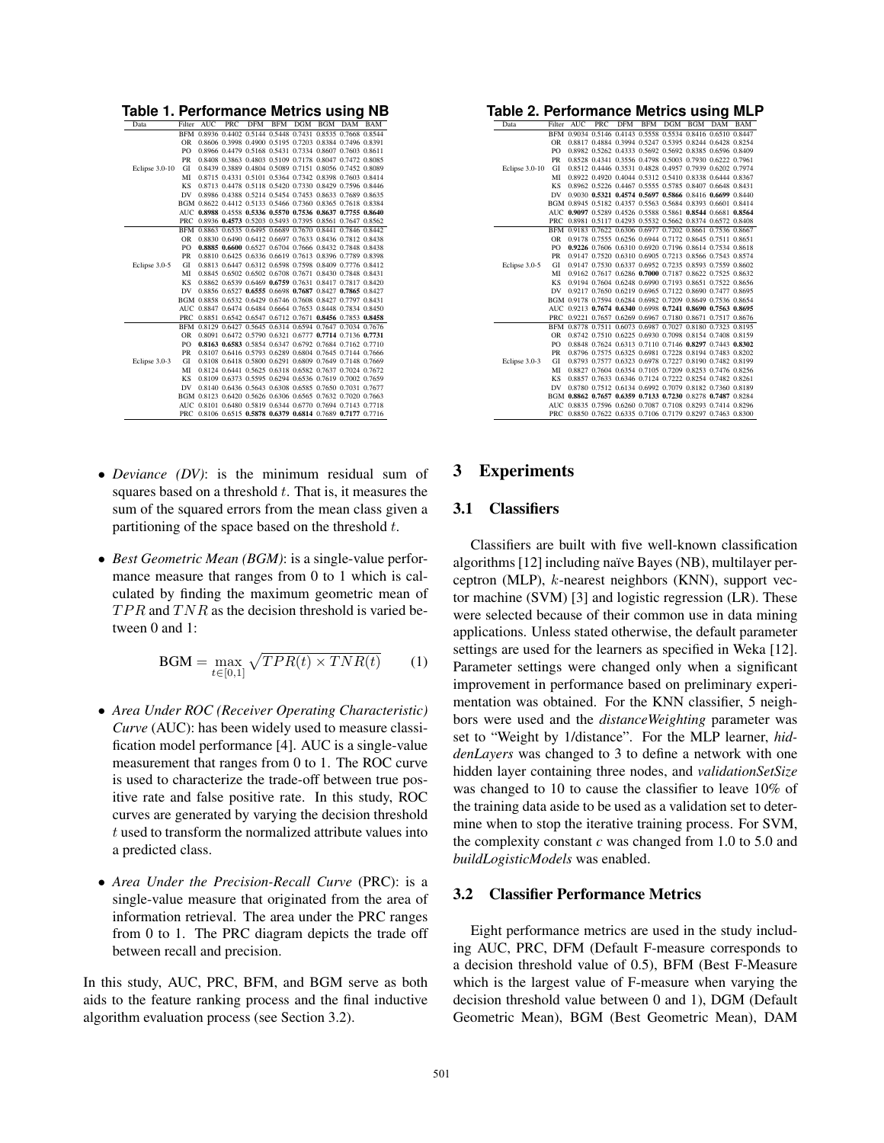| Table 1. Performance Metrics using NB |            |            |     |                                                             |            |     |            |                      |     |
|---------------------------------------|------------|------------|-----|-------------------------------------------------------------|------------|-----|------------|----------------------|-----|
| Data                                  | Filter     | <b>AUC</b> | PRC | <b>DFM</b>                                                  | <b>BFM</b> | DGM | <b>BGM</b> | DAM                  | BAM |
|                                       | <b>BFM</b> |            |     | 0.8936 0.4402 0.5144 0.5448 0.7431                          |            |     |            | 0.8535 0.7668 0.8544 |     |
|                                       | <b>OR</b>  |            |     | 0.8606 0.3998 0.4900 0.5195 0.7203 0.8384 0.7496 0.8391     |            |     |            |                      |     |
|                                       | PO         |            |     | 0.8966 0.4479 0.5168 0.5431 0.7334 0.8607 0.7603 0.8611     |            |     |            |                      |     |
|                                       | PR         |            |     | 0.8408 0.3863 0.4803 0.5109 0.7178 0.8047 0.7472 0.8085     |            |     |            |                      |     |
| Eclipse 3.0-10                        | GI         |            |     | 0.8439 0.3889 0.4804 0.5089 0.7151 0.8056 0.7452 0.8089     |            |     |            |                      |     |
|                                       | MI         |            |     | 0.8715 0.4331 0.5101 0.5364 0.7342 0.8398 0.7603 0.8414     |            |     |            |                      |     |
|                                       | KS         |            |     | 0.8713 0.4478 0.5118 0.5420 0.7330 0.8429 0.7596 0.8446     |            |     |            |                      |     |
|                                       | DV         |            |     | 0.8986 0.4388 0.5214 0.5454 0.7453 0.8633 0.7689 0.8635     |            |     |            |                      |     |
|                                       |            |            |     | BGM 0.8622 0.4412 0.5133 0.5466 0.7360 0.8365 0.7618 0.8384 |            |     |            |                      |     |
|                                       | AUC        |            |     | 0.8988 0.4558 0.5336 0.5570 0.7536 0.8637 0.7755 0.8640     |            |     |            |                      |     |
|                                       | PRC        |            |     | 0.8936 0.4573 0.5203 0.5493 0.7395 0.8561 0.7647 0.8562     |            |     |            |                      |     |
|                                       | <b>BFM</b> |            |     | 0.8863 0.6535 0.6495 0.6689 0.7670 0.8441 0.7846 0.8442     |            |     |            |                      |     |
|                                       | <b>OR</b>  |            |     | 0.8830 0.6490 0.6412 0.6697 0.7633 0.8436 0.7812 0.8438     |            |     |            |                      |     |
|                                       | PO         |            |     | 0.8885 0.6600 0.6527 0.6704 0.7666 0.8432 0.7848 0.8438     |            |     |            |                      |     |
|                                       | PR         |            |     | 0.8810 0.6425 0.6336 0.6619 0.7613 0.8396 0.7789 0.8398     |            |     |            |                      |     |
| Eclipse 3.0-5                         | GI         |            |     | 0.8813 0.6447 0.6312 0.6598 0.7598 0.8409 0.7776 0.8412     |            |     |            |                      |     |
|                                       | MI         |            |     | 0.8845 0.6502 0.6502 0.6708 0.7671 0.8430 0.7848 0.8431     |            |     |            |                      |     |
|                                       | KS         |            |     | 0.8862 0.6539 0.6469 0.6759 0.7631 0.8417 0.7817 0.8420     |            |     |            |                      |     |
|                                       | DV         |            |     | 0.8856 0.6527 0.6555 0.6698 0.7687 0.8427 0.7865 0.8427     |            |     |            |                      |     |
|                                       | <b>BGM</b> |            |     | 0.8858 0.6532 0.6429 0.6746 0.7608 0.8427 0.7797 0.8431     |            |     |            |                      |     |
|                                       | AUC        |            |     | 0.8847 0.6474 0.6484 0.6664 0.7653 0.8448 0.7834 0.8450     |            |     |            |                      |     |
|                                       | PRC        |            |     | 0.8851 0.6542 0.6547 0.6712 0.7671 0.8456 0.7853 0.8458     |            |     |            |                      |     |
|                                       | <b>BFM</b> |            |     | 0.8129 0.6427 0.5645 0.6314 0.6594 0.7647 0.7034 0.7676     |            |     |            |                      |     |
|                                       | OR         |            |     | 0.8091 0.6472 0.5790 0.6321 0.6777 0.7714 0.7136 0.7731     |            |     |            |                      |     |
|                                       | PO         |            |     | 0.8163 0.6583 0.5854 0.6347 0.6792 0.7684 0.7162 0.7710     |            |     |            |                      |     |
|                                       | PR         |            |     | 0.8107 0.6416 0.5793 0.6289 0.6804 0.7645 0.7144 0.7666     |            |     |            |                      |     |
| Eclipse 3.0-3                         | GI         |            |     | 0.8108 0.6418 0.5800 0.6291 0.6809 0.7649 0.7148 0.7669     |            |     |            |                      |     |
|                                       | MI         |            |     | 0.8124 0.6441 0.5625 0.6318 0.6582 0.7637 0.7024 0.7672     |            |     |            |                      |     |
|                                       | KS         |            |     | 0.8109 0.6373 0.5595 0.6294 0.6536 0.7619 0.7002 0.7659     |            |     |            |                      |     |
|                                       | DV         |            |     | 0.8140 0.6436 0.5643 0.6308 0.6585 0.7650 0.7031 0.7677     |            |     |            |                      |     |
|                                       | <b>BGM</b> |            |     | 0.8123 0.6420 0.5626 0.6306 0.6565 0.7632 0.7020 0.7663     |            |     |            |                      |     |
|                                       | AUC        |            |     | 0.8101 0.6480 0.5819 0.6344 0.6770 0.7694 0.7143 0.7718     |            |     |            |                      |     |
|                                       | PRC.       |            |     | 0.8106 0.6515 0.5878 0.6379 0.6814 0.7689 0.7177 0.7716     |            |     |            |                      |     |

- *Deviance (DV)*: is the minimum residual sum of squares based on a threshold  $t$ . That is, it measures the sum of the squared errors from the mean class given a partitioning of the space based on the threshold  $t$ .
- *Best Geometric Mean (BGM)*: is a single-value performance measure that ranges from 0 to 1 which is calculated by finding the maximum geometric mean of  $TPR$  and  $TNR$  as the decision threshold is varied between 0 and 1:

$$
BGM = \max_{t \in [0,1]} \sqrt{TPR(t) \times TNR(t)}
$$
 (1)

- *Area Under ROC (Receiver Operating Characteristic) Curve* (AUC): has been widely used to measure classification model performance [4]. AUC is a single-value measurement that ranges from 0 to 1. The ROC curve is used to characterize the trade-off between true positive rate and false positive rate. In this study, ROC curves are generated by varying the decision threshold  $t$  used to transform the normalized attribute values into a predicted class.
- *Area Under the Precision-Recall Curve* (PRC): is a single-value measure that originated from the area of information retrieval. The area under the PRC ranges from 0 to 1. The PRC diagram depicts the trade off between recall and precision.

In this study, AUC, PRC, BFM, and BGM serve as both aids to the feature ranking process and the final inductive algorithm evaluation process (see Section 3.2).

**Table 2. Performance Metrics using MLP**

| Filter<br><b>AUC</b><br>PRC<br><b>DFM</b><br><b>BFM</b><br>DAM<br>Data<br>DGM<br>BGM<br>BAM<br>0.9034 0.5146 0.4143 0.5558 0.5534 0.8416 0.6510 0.8447<br><b>BFM</b><br>0.8817 0.4884 0.3994 0.5247 0.5395 0.8244 0.6428 0.8254<br>OR<br>PO<br>0.8982 0.5262 0.4333 0.5692 0.5692 0.8385 0.6596 0.8409<br>PR<br>0.8528 0.4341 0.3556 0.4798 0.5003 0.7930 0.6222 0.7961<br>0.8512 0.4446 0.3531 0.4828 0.4957 0.7939 0.6202 0.7974<br>Eclipse 3.0-10<br>GI<br>MI<br>0.8922 0.4920 0.4044 0.5312 0.5410 0.8338 0.6444 0.8367<br><b>KS</b><br>0.8962 0.5226 0.4467 0.5555 0.5785 0.8407 0.6648 0.8431<br>DV<br>0.9030 0.5321 0.4574 0.5697 0.5866 0.8416 0.6699 0.8440<br>BGM 0.8945 0.5182 0.4357 0.5563 0.5684 0.8393 0.6601 0.8414<br>AUC 0.9097 0.5289 0.4526 0.5588 0.5861 0.8544 0.6681 0.8564<br>0.8981 0.5117 0.4293 0.5532 0.5662 0.8374 0.6572 0.8408<br>PRC<br>0.9183 0.7622 0.6306 0.6977 0.7202 0.8661 0.7536 0.8667<br><b>BFM</b><br>0.9178 0.7555 0.6256 0.6944 0.7172 0.8645 0.7511 0.8651<br><b>OR</b><br>PO<br>0.9226 0.7606 0.6310 0.6920 0.7196 0.8614 0.7534 0.8618<br>0.9147 0.7520 0.6310 0.6905 0.7213 0.8566 0.7543 0.8574<br>PR<br>Eclipse 3.0-5<br>GI<br>0.9147 0.7530 0.6337 0.6952 0.7235 0.8593 0.7559 0.8602<br>MI<br>0.9162 0.7617 0.6286 0.7000 0.7187 0.8622 0.7525 0.8632<br><b>KS</b><br>0.9194 0.7604 0.6248 0.6990 0.7193 0.8651 0.7522 0.8656<br>0.9217 0.7650 0.6219 0.6965 0.7122 0.8690 0.7477 0.8695<br>DV<br>BGM 0.9178 0.7594 0.6284 0.6982 0.7209 0.8649 0.7536 0.8654<br>AUC 0.9213 0.7674 0.6340 0.6998 0.7241 0.8690 0.7563 0.8695<br>0.9221 0.7657 0.6269 0.6967 0.7180 0.8671 0.7517 0.8676<br>PRC<br>BFM 0.8778 0.7511 0.6073 0.6987 0.7027 0.8180 0.7323 0.8195<br>0.8742 0.7510 0.6225 0.6930 0.7098 0.8154 0.7408 0.8159<br><b>OR</b><br>0.8848 0.7624 0.6313 0.7110 0.7146 0.8297 0.7443 0.8302<br>PO<br>0.8796 0.7575 0.6325 0.6981 0.7228 0.8194 0.7483 0.8202<br>PR<br>Eclipse 3.0-3<br>GI<br>0.8793 0.7577 0.6323 0.6978 0.7227 0.8190 0.7482 0.8199<br>MI<br>0.8827 0.7604 0.6354 0.7105 0.7209 0.8253 0.7476 0.8256<br><b>KS</b><br>0.8857 0.7633 0.6346 0.7124 0.7222 0.8254 0.7482 0.8261<br>DV<br>0.8780 0.7512 0.6134 0.6992 0.7079 0.8182 0.7360 0.8189<br>BGM 0.8862 0.7657 0.6359 0.7133 0.7230 0.8278 0.7487 0.8284<br>0.8835 0.7596 0.6260 0.7087 0.7108 0.8293 0.7414 0.8296<br>AUC<br>PRC 0.8850 0.7622 0.6335 0.7106 0.7179 0.8297 0.7463 0.8300 |  |  |  |  |  |  |
|--------------------------------------------------------------------------------------------------------------------------------------------------------------------------------------------------------------------------------------------------------------------------------------------------------------------------------------------------------------------------------------------------------------------------------------------------------------------------------------------------------------------------------------------------------------------------------------------------------------------------------------------------------------------------------------------------------------------------------------------------------------------------------------------------------------------------------------------------------------------------------------------------------------------------------------------------------------------------------------------------------------------------------------------------------------------------------------------------------------------------------------------------------------------------------------------------------------------------------------------------------------------------------------------------------------------------------------------------------------------------------------------------------------------------------------------------------------------------------------------------------------------------------------------------------------------------------------------------------------------------------------------------------------------------------------------------------------------------------------------------------------------------------------------------------------------------------------------------------------------------------------------------------------------------------------------------------------------------------------------------------------------------------------------------------------------------------------------------------------------------------------------------------------------------------------------------------------------------------------------------------------------------------------------------------------------------------------------------------------------------------------------------------------------------|--|--|--|--|--|--|
|                                                                                                                                                                                                                                                                                                                                                                                                                                                                                                                                                                                                                                                                                                                                                                                                                                                                                                                                                                                                                                                                                                                                                                                                                                                                                                                                                                                                                                                                                                                                                                                                                                                                                                                                                                                                                                                                                                                                                                                                                                                                                                                                                                                                                                                                                                                                                                                                                          |  |  |  |  |  |  |
|                                                                                                                                                                                                                                                                                                                                                                                                                                                                                                                                                                                                                                                                                                                                                                                                                                                                                                                                                                                                                                                                                                                                                                                                                                                                                                                                                                                                                                                                                                                                                                                                                                                                                                                                                                                                                                                                                                                                                                                                                                                                                                                                                                                                                                                                                                                                                                                                                          |  |  |  |  |  |  |
|                                                                                                                                                                                                                                                                                                                                                                                                                                                                                                                                                                                                                                                                                                                                                                                                                                                                                                                                                                                                                                                                                                                                                                                                                                                                                                                                                                                                                                                                                                                                                                                                                                                                                                                                                                                                                                                                                                                                                                                                                                                                                                                                                                                                                                                                                                                                                                                                                          |  |  |  |  |  |  |
|                                                                                                                                                                                                                                                                                                                                                                                                                                                                                                                                                                                                                                                                                                                                                                                                                                                                                                                                                                                                                                                                                                                                                                                                                                                                                                                                                                                                                                                                                                                                                                                                                                                                                                                                                                                                                                                                                                                                                                                                                                                                                                                                                                                                                                                                                                                                                                                                                          |  |  |  |  |  |  |
|                                                                                                                                                                                                                                                                                                                                                                                                                                                                                                                                                                                                                                                                                                                                                                                                                                                                                                                                                                                                                                                                                                                                                                                                                                                                                                                                                                                                                                                                                                                                                                                                                                                                                                                                                                                                                                                                                                                                                                                                                                                                                                                                                                                                                                                                                                                                                                                                                          |  |  |  |  |  |  |
|                                                                                                                                                                                                                                                                                                                                                                                                                                                                                                                                                                                                                                                                                                                                                                                                                                                                                                                                                                                                                                                                                                                                                                                                                                                                                                                                                                                                                                                                                                                                                                                                                                                                                                                                                                                                                                                                                                                                                                                                                                                                                                                                                                                                                                                                                                                                                                                                                          |  |  |  |  |  |  |
|                                                                                                                                                                                                                                                                                                                                                                                                                                                                                                                                                                                                                                                                                                                                                                                                                                                                                                                                                                                                                                                                                                                                                                                                                                                                                                                                                                                                                                                                                                                                                                                                                                                                                                                                                                                                                                                                                                                                                                                                                                                                                                                                                                                                                                                                                                                                                                                                                          |  |  |  |  |  |  |
|                                                                                                                                                                                                                                                                                                                                                                                                                                                                                                                                                                                                                                                                                                                                                                                                                                                                                                                                                                                                                                                                                                                                                                                                                                                                                                                                                                                                                                                                                                                                                                                                                                                                                                                                                                                                                                                                                                                                                                                                                                                                                                                                                                                                                                                                                                                                                                                                                          |  |  |  |  |  |  |
|                                                                                                                                                                                                                                                                                                                                                                                                                                                                                                                                                                                                                                                                                                                                                                                                                                                                                                                                                                                                                                                                                                                                                                                                                                                                                                                                                                                                                                                                                                                                                                                                                                                                                                                                                                                                                                                                                                                                                                                                                                                                                                                                                                                                                                                                                                                                                                                                                          |  |  |  |  |  |  |
|                                                                                                                                                                                                                                                                                                                                                                                                                                                                                                                                                                                                                                                                                                                                                                                                                                                                                                                                                                                                                                                                                                                                                                                                                                                                                                                                                                                                                                                                                                                                                                                                                                                                                                                                                                                                                                                                                                                                                                                                                                                                                                                                                                                                                                                                                                                                                                                                                          |  |  |  |  |  |  |
|                                                                                                                                                                                                                                                                                                                                                                                                                                                                                                                                                                                                                                                                                                                                                                                                                                                                                                                                                                                                                                                                                                                                                                                                                                                                                                                                                                                                                                                                                                                                                                                                                                                                                                                                                                                                                                                                                                                                                                                                                                                                                                                                                                                                                                                                                                                                                                                                                          |  |  |  |  |  |  |
|                                                                                                                                                                                                                                                                                                                                                                                                                                                                                                                                                                                                                                                                                                                                                                                                                                                                                                                                                                                                                                                                                                                                                                                                                                                                                                                                                                                                                                                                                                                                                                                                                                                                                                                                                                                                                                                                                                                                                                                                                                                                                                                                                                                                                                                                                                                                                                                                                          |  |  |  |  |  |  |
|                                                                                                                                                                                                                                                                                                                                                                                                                                                                                                                                                                                                                                                                                                                                                                                                                                                                                                                                                                                                                                                                                                                                                                                                                                                                                                                                                                                                                                                                                                                                                                                                                                                                                                                                                                                                                                                                                                                                                                                                                                                                                                                                                                                                                                                                                                                                                                                                                          |  |  |  |  |  |  |
|                                                                                                                                                                                                                                                                                                                                                                                                                                                                                                                                                                                                                                                                                                                                                                                                                                                                                                                                                                                                                                                                                                                                                                                                                                                                                                                                                                                                                                                                                                                                                                                                                                                                                                                                                                                                                                                                                                                                                                                                                                                                                                                                                                                                                                                                                                                                                                                                                          |  |  |  |  |  |  |
|                                                                                                                                                                                                                                                                                                                                                                                                                                                                                                                                                                                                                                                                                                                                                                                                                                                                                                                                                                                                                                                                                                                                                                                                                                                                                                                                                                                                                                                                                                                                                                                                                                                                                                                                                                                                                                                                                                                                                                                                                                                                                                                                                                                                                                                                                                                                                                                                                          |  |  |  |  |  |  |
|                                                                                                                                                                                                                                                                                                                                                                                                                                                                                                                                                                                                                                                                                                                                                                                                                                                                                                                                                                                                                                                                                                                                                                                                                                                                                                                                                                                                                                                                                                                                                                                                                                                                                                                                                                                                                                                                                                                                                                                                                                                                                                                                                                                                                                                                                                                                                                                                                          |  |  |  |  |  |  |
|                                                                                                                                                                                                                                                                                                                                                                                                                                                                                                                                                                                                                                                                                                                                                                                                                                                                                                                                                                                                                                                                                                                                                                                                                                                                                                                                                                                                                                                                                                                                                                                                                                                                                                                                                                                                                                                                                                                                                                                                                                                                                                                                                                                                                                                                                                                                                                                                                          |  |  |  |  |  |  |
|                                                                                                                                                                                                                                                                                                                                                                                                                                                                                                                                                                                                                                                                                                                                                                                                                                                                                                                                                                                                                                                                                                                                                                                                                                                                                                                                                                                                                                                                                                                                                                                                                                                                                                                                                                                                                                                                                                                                                                                                                                                                                                                                                                                                                                                                                                                                                                                                                          |  |  |  |  |  |  |
|                                                                                                                                                                                                                                                                                                                                                                                                                                                                                                                                                                                                                                                                                                                                                                                                                                                                                                                                                                                                                                                                                                                                                                                                                                                                                                                                                                                                                                                                                                                                                                                                                                                                                                                                                                                                                                                                                                                                                                                                                                                                                                                                                                                                                                                                                                                                                                                                                          |  |  |  |  |  |  |
|                                                                                                                                                                                                                                                                                                                                                                                                                                                                                                                                                                                                                                                                                                                                                                                                                                                                                                                                                                                                                                                                                                                                                                                                                                                                                                                                                                                                                                                                                                                                                                                                                                                                                                                                                                                                                                                                                                                                                                                                                                                                                                                                                                                                                                                                                                                                                                                                                          |  |  |  |  |  |  |
|                                                                                                                                                                                                                                                                                                                                                                                                                                                                                                                                                                                                                                                                                                                                                                                                                                                                                                                                                                                                                                                                                                                                                                                                                                                                                                                                                                                                                                                                                                                                                                                                                                                                                                                                                                                                                                                                                                                                                                                                                                                                                                                                                                                                                                                                                                                                                                                                                          |  |  |  |  |  |  |
|                                                                                                                                                                                                                                                                                                                                                                                                                                                                                                                                                                                                                                                                                                                                                                                                                                                                                                                                                                                                                                                                                                                                                                                                                                                                                                                                                                                                                                                                                                                                                                                                                                                                                                                                                                                                                                                                                                                                                                                                                                                                                                                                                                                                                                                                                                                                                                                                                          |  |  |  |  |  |  |
|                                                                                                                                                                                                                                                                                                                                                                                                                                                                                                                                                                                                                                                                                                                                                                                                                                                                                                                                                                                                                                                                                                                                                                                                                                                                                                                                                                                                                                                                                                                                                                                                                                                                                                                                                                                                                                                                                                                                                                                                                                                                                                                                                                                                                                                                                                                                                                                                                          |  |  |  |  |  |  |
|                                                                                                                                                                                                                                                                                                                                                                                                                                                                                                                                                                                                                                                                                                                                                                                                                                                                                                                                                                                                                                                                                                                                                                                                                                                                                                                                                                                                                                                                                                                                                                                                                                                                                                                                                                                                                                                                                                                                                                                                                                                                                                                                                                                                                                                                                                                                                                                                                          |  |  |  |  |  |  |
|                                                                                                                                                                                                                                                                                                                                                                                                                                                                                                                                                                                                                                                                                                                                                                                                                                                                                                                                                                                                                                                                                                                                                                                                                                                                                                                                                                                                                                                                                                                                                                                                                                                                                                                                                                                                                                                                                                                                                                                                                                                                                                                                                                                                                                                                                                                                                                                                                          |  |  |  |  |  |  |
|                                                                                                                                                                                                                                                                                                                                                                                                                                                                                                                                                                                                                                                                                                                                                                                                                                                                                                                                                                                                                                                                                                                                                                                                                                                                                                                                                                                                                                                                                                                                                                                                                                                                                                                                                                                                                                                                                                                                                                                                                                                                                                                                                                                                                                                                                                                                                                                                                          |  |  |  |  |  |  |
|                                                                                                                                                                                                                                                                                                                                                                                                                                                                                                                                                                                                                                                                                                                                                                                                                                                                                                                                                                                                                                                                                                                                                                                                                                                                                                                                                                                                                                                                                                                                                                                                                                                                                                                                                                                                                                                                                                                                                                                                                                                                                                                                                                                                                                                                                                                                                                                                                          |  |  |  |  |  |  |
|                                                                                                                                                                                                                                                                                                                                                                                                                                                                                                                                                                                                                                                                                                                                                                                                                                                                                                                                                                                                                                                                                                                                                                                                                                                                                                                                                                                                                                                                                                                                                                                                                                                                                                                                                                                                                                                                                                                                                                                                                                                                                                                                                                                                                                                                                                                                                                                                                          |  |  |  |  |  |  |
|                                                                                                                                                                                                                                                                                                                                                                                                                                                                                                                                                                                                                                                                                                                                                                                                                                                                                                                                                                                                                                                                                                                                                                                                                                                                                                                                                                                                                                                                                                                                                                                                                                                                                                                                                                                                                                                                                                                                                                                                                                                                                                                                                                                                                                                                                                                                                                                                                          |  |  |  |  |  |  |
|                                                                                                                                                                                                                                                                                                                                                                                                                                                                                                                                                                                                                                                                                                                                                                                                                                                                                                                                                                                                                                                                                                                                                                                                                                                                                                                                                                                                                                                                                                                                                                                                                                                                                                                                                                                                                                                                                                                                                                                                                                                                                                                                                                                                                                                                                                                                                                                                                          |  |  |  |  |  |  |
|                                                                                                                                                                                                                                                                                                                                                                                                                                                                                                                                                                                                                                                                                                                                                                                                                                                                                                                                                                                                                                                                                                                                                                                                                                                                                                                                                                                                                                                                                                                                                                                                                                                                                                                                                                                                                                                                                                                                                                                                                                                                                                                                                                                                                                                                                                                                                                                                                          |  |  |  |  |  |  |
|                                                                                                                                                                                                                                                                                                                                                                                                                                                                                                                                                                                                                                                                                                                                                                                                                                                                                                                                                                                                                                                                                                                                                                                                                                                                                                                                                                                                                                                                                                                                                                                                                                                                                                                                                                                                                                                                                                                                                                                                                                                                                                                                                                                                                                                                                                                                                                                                                          |  |  |  |  |  |  |
|                                                                                                                                                                                                                                                                                                                                                                                                                                                                                                                                                                                                                                                                                                                                                                                                                                                                                                                                                                                                                                                                                                                                                                                                                                                                                                                                                                                                                                                                                                                                                                                                                                                                                                                                                                                                                                                                                                                                                                                                                                                                                                                                                                                                                                                                                                                                                                                                                          |  |  |  |  |  |  |
|                                                                                                                                                                                                                                                                                                                                                                                                                                                                                                                                                                                                                                                                                                                                                                                                                                                                                                                                                                                                                                                                                                                                                                                                                                                                                                                                                                                                                                                                                                                                                                                                                                                                                                                                                                                                                                                                                                                                                                                                                                                                                                                                                                                                                                                                                                                                                                                                                          |  |  |  |  |  |  |

### 3 Experiments

### 3.1 Classifiers

Classifiers are built with five well-known classification algorithms [12] including naïve Bayes (NB), multilayer perceptron (MLP), k-nearest neighbors (KNN), support vector machine (SVM) [3] and logistic regression (LR). These were selected because of their common use in data mining applications. Unless stated otherwise, the default parameter settings are used for the learners as specified in Weka [12]. Parameter settings were changed only when a significant improvement in performance based on preliminary experimentation was obtained. For the KNN classifier, 5 neighbors were used and the *distanceWeighting* parameter was set to "Weight by 1/distance". For the MLP learner, *hiddenLayers* was changed to 3 to define a network with one hidden layer containing three nodes, and *validationSetSize* was changed to 10 to cause the classifier to leave 10% of the training data aside to be used as a validation set to determine when to stop the iterative training process. For SVM, the complexity constant  $c$  was changed from 1.0 to 5.0 and *buildLogisticModels* was enabled.

#### 3.2 Classifier Performance Metrics

Eight performance metrics are used in the study including AUC, PRC, DFM (Default F-measure corresponds to a decision threshold value of 0.5), BFM (Best F-Measure which is the largest value of F-measure when varying the decision threshold value between 0 and 1), DGM (Default Geometric Mean), BGM (Best Geometric Mean), DAM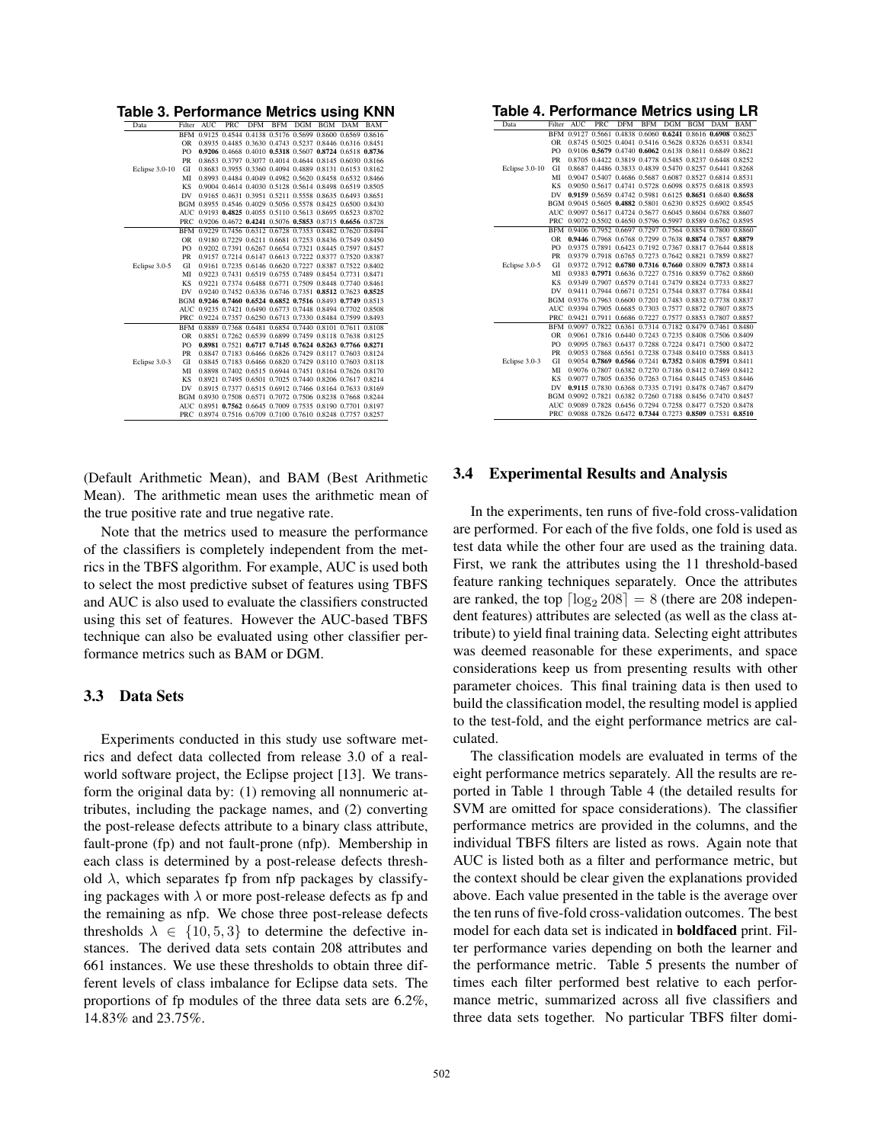| Table 3. Performance Metrics using KNI |            |            |            |            |            |                                                             |            |            |            |
|----------------------------------------|------------|------------|------------|------------|------------|-------------------------------------------------------------|------------|------------|------------|
| Data                                   | Filter     | <b>AUC</b> | <b>PRC</b> | <b>DFM</b> | <b>BFM</b> | DGM                                                         | <b>BGM</b> | <b>DAM</b> | <b>BAM</b> |
|                                        |            |            |            |            |            | BFM 0.9125 0.4544 0.4138 0.5176 0.5699 0.8600 0.6569 0.8616 |            |            |            |
|                                        | <b>OR</b>  |            |            |            |            | 0.8935 0.4485 0.3630 0.4743 0.5237 0.8446 0.6316 0.8451     |            |            |            |
|                                        | PO         |            |            |            |            | 0.9206 0.4668 0.4010 0.5318 0.5607 0.8724 0.6518 0.8736     |            |            |            |
|                                        | PR         |            |            |            |            | 0.8653 0.3797 0.3077 0.4014 0.4644 0.8145 0.6030 0.8166     |            |            |            |
| Eclipse 3.0-10                         | GI         |            |            |            |            | 0.8683 0.3955 0.3360 0.4094 0.4889 0.8131 0.6153 0.8162     |            |            |            |
|                                        | MI         |            |            |            |            | 0.8993 0.4484 0.4049 0.4982 0.5620 0.8458 0.6532 0.8466     |            |            |            |
|                                        | <b>KS</b>  |            |            |            |            | 0.9004 0.4614 0.4030 0.5128 0.5614 0.8498 0.6519 0.8505     |            |            |            |
|                                        | DV         |            |            |            |            | 0.9165 0.4631 0.3951 0.5211 0.5558 0.8635 0.6493 0.8651     |            |            |            |
|                                        |            |            |            |            |            | BGM 0.8955 0.4546 0.4029 0.5056 0.5578 0.8425 0.6500 0.8430 |            |            |            |
|                                        |            |            |            |            |            | AUC 0.9193 0.4825 0.4055 0.5110 0.5613 0.8695 0.6523 0.8702 |            |            |            |
|                                        | PRC        |            |            |            |            | 0.9206 0.4672 0.4241 0.5076 0.5853 0.8715 0.6656 0.8728     |            |            |            |
|                                        |            |            |            |            |            | BFM 0.9229 0.7456 0.6312 0.6728 0.7353 0.8482 0.7620 0.8494 |            |            |            |
|                                        | <b>OR</b>  |            |            |            |            | 0.9180 0.7229 0.6211 0.6681 0.7253 0.8436 0.7549 0.8450     |            |            |            |
|                                        | PO         |            |            |            |            | 0.9202 0.7391 0.6267 0.6654 0.7321 0.8445 0.7597 0.8457     |            |            |            |
|                                        | <b>PR</b>  |            |            |            |            | 0.9157 0.7214 0.6147 0.6613 0.7222 0.8377 0.7520 0.8387     |            |            |            |
| Eclipse 3.0-5                          | GI         |            |            |            |            | 0.9161 0.7235 0.6146 0.6620 0.7227 0.8387 0.7522 0.8402     |            |            |            |
|                                        | MI         |            |            |            |            | 0.9223 0.7431 0.6519 0.6755 0.7489 0.8454 0.7731 0.8471     |            |            |            |
|                                        | <b>KS</b>  |            |            |            |            | 0.9221 0.7374 0.6488 0.6771 0.7509 0.8448 0.7740 0.8461     |            |            |            |
|                                        | DV         |            |            |            |            | 0.9240 0.7452 0.6336 0.6746 0.7351 0.8512 0.7623 0.8525     |            |            |            |
|                                        |            |            |            |            |            | BGM 0.9246 0.7460 0.6524 0.6852 0.7516 0.8493 0.7749 0.8513 |            |            |            |
|                                        |            |            |            |            |            | AUC 0.9235 0.7421 0.6490 0.6773 0.7448 0.8494 0.7702 0.8508 |            |            |            |
|                                        | PRC        |            |            |            |            | 0.9224 0.7357 0.6250 0.6713 0.7330 0.8484 0.7599 0.8493     |            |            |            |
|                                        | <b>BFM</b> |            |            |            |            | 0.8889 0.7368 0.6481 0.6854 0.7440 0.8101 0.7611 0.8108     |            |            |            |
|                                        | <b>OR</b>  |            |            |            |            | 0.8851 0.7262 0.6539 0.6899 0.7459 0.8118 0.7638 0.8125     |            |            |            |
|                                        | PO         |            |            |            |            | 0.8981 0.7521 0.6717 0.7145 0.7624 0.8263 0.7766 0.8271     |            |            |            |
|                                        | PR         |            |            |            |            | 0.8847 0.7183 0.6466 0.6826 0.7429 0.8117 0.7603 0.8124     |            |            |            |
| Eclipse 3.0-3                          | GI         |            |            |            |            | 0.8845 0.7183 0.6466 0.6820 0.7429 0.8110 0.7603 0.8118     |            |            |            |
|                                        | MI         |            |            |            |            | 0.8898 0.7402 0.6515 0.6944 0.7451 0.8164 0.7626 0.8170     |            |            |            |
|                                        | <b>KS</b>  |            |            |            |            | 0.8921 0.7495 0.6501 0.7025 0.7440 0.8206 0.7617 0.8214     |            |            |            |
|                                        | DV         |            |            |            |            | 0.8915 0.7377 0.6515 0.6912 0.7466 0.8164 0.7633 0.8169     |            |            |            |
|                                        |            |            |            |            |            | BGM 0.8930 0.7508 0.6571 0.7072 0.7506 0.8238 0.7668 0.8244 |            |            |            |
|                                        |            |            |            |            |            | AUC 0.8951 0.7562 0.6645 0.7009 0.7535 0.8190 0.7701 0.8197 |            |            |            |
|                                        |            |            |            |            |            | PRC 0.8974 0.7516 0.6709 0.7100 0.7610 0.8248 0.7757 0.8257 |            |            |            |
|                                        |            |            |            |            |            |                                                             |            |            |            |

**Table 3. Performance Metrics using KNN**

**Table 4. Performance Metrics using LR** Filter AUC PRC DFM BFM DGM BGM DAM BAM BFM 0.9127 0.5661 0.4838 0.6060 0.6241 0.8616 0.6908 0.8623 OR 0.8745 0.5025 0.4041 0.5416 0.5628 0.8326 0.6531 0.8341

|                | <b>BFM</b>     | 0.9127 0.5661 0.4838 0.6060 0.6241 0.8616 0.6908 0.8623 |  |  |                                                             |  |
|----------------|----------------|---------------------------------------------------------|--|--|-------------------------------------------------------------|--|
|                | OR             |                                                         |  |  | 0.8745 0.5025 0.4041 0.5416 0.5628 0.8326 0.6531 0.8341     |  |
|                | PO             |                                                         |  |  | 0.9106 0.5679 0.4740 0.6062 0.6138 0.8611 0.6849 0.8621     |  |
|                | PR             |                                                         |  |  | 0.8705 0.4422 0.3819 0.4778 0.5485 0.8237 0.6448 0.8252     |  |
| Eclipse 3.0-10 | GI             |                                                         |  |  | 0.8687 0.4486 0.3833 0.4839 0.5470 0.8257 0.6441 0.8268     |  |
|                | MI             |                                                         |  |  | 0.9047 0.5407 0.4686 0.5687 0.6087 0.8527 0.6814 0.8531     |  |
|                | KS             |                                                         |  |  | 0.9050 0.5617 0.4741 0.5728 0.6098 0.8575 0.6818 0.8593     |  |
|                | DV             |                                                         |  |  | 0.9159 0.5659 0.4742 0.5981 0.6125 0.8651 0.6840 0.8658     |  |
|                | <b>BGM</b>     |                                                         |  |  | 0.9045 0.5605 0.4882 0.5801 0.6230 0.8525 0.6902 0.8545     |  |
|                | AUC.           |                                                         |  |  | 0.9097 0.5617 0.4724 0.5677 0.6045 0.8604 0.6788 0.8607     |  |
|                | PRC            |                                                         |  |  | 0.9072 0.5502 0.4650 0.5796 0.5997 0.8589 0.6762 0.8595     |  |
|                | <b>BFM</b>     |                                                         |  |  | 0.9406 0.7952 0.6697 0.7297 0.7564 0.8854 0.7800 0.8860     |  |
|                | <b>OR</b>      |                                                         |  |  | 0.9446 0.7968 0.6768 0.7299 0.7638 0.8874 0.7857 0.8879     |  |
|                | PO             |                                                         |  |  | 0.9375 0.7891 0.6423 0.7192 0.7367 0.8817 0.7644 0.8818     |  |
|                | PR             |                                                         |  |  | 0.9379 0.7918 0.6765 0.7273 0.7642 0.8821 0.7859 0.8827     |  |
| Eclipse 3.0-5  | GI             |                                                         |  |  | 0.9372 0.7912 0.6780 0.7316 0.7660 0.8809 0.7873 0.8814     |  |
|                | MI             |                                                         |  |  | 0.9383 0.7971 0.6636 0.7227 0.7516 0.8859 0.7762 0.8860     |  |
|                | KS             |                                                         |  |  | 0.9349 0.7907 0.6579 0.7141 0.7479 0.8824 0.7733 0.8827     |  |
|                | DV             |                                                         |  |  | 0.9411 0.7944 0.6671 0.7251 0.7544 0.8837 0.7784 0.8841     |  |
|                |                |                                                         |  |  | BGM 0.9376 0.7963 0.6600 0.7201 0.7483 0.8832 0.7738 0.8837 |  |
|                | AUC.           |                                                         |  |  | 0.9394 0.7905 0.6685 0.7303 0.7577 0.8872 0.7807 0.8875     |  |
|                | PRC            |                                                         |  |  | 0.9421 0.7911 0.6686 0.7227 0.7577 0.8853 0.7807 0.8857     |  |
|                | <b>BFM</b>     |                                                         |  |  | 0.9097 0.7822 0.6361 0.7314 0.7182 0.8479 0.7461 0.8480     |  |
|                | <b>OR</b>      |                                                         |  |  | 0.9061 0.7816 0.6440 0.7243 0.7235 0.8408 0.7506 0.8409     |  |
|                | P <sub>O</sub> |                                                         |  |  | 0.9095 0.7863 0.6437 0.7288 0.7224 0.8471 0.7500 0.8472     |  |
|                | PR             |                                                         |  |  | 0.9053 0.7868 0.6561 0.7238 0.7348 0.8410 0.7588 0.8413     |  |
| Eclipse 3.0-3  | GI             |                                                         |  |  | 0.9054 0.7869 0.6566 0.7241 0.7352 0.8408 0.7591 0.8411     |  |
|                | MI             |                                                         |  |  | 0.9076 0.7807 0.6382 0.7270 0.7186 0.8412 0.7469 0.8412     |  |
|                | KS             |                                                         |  |  | 0.9077 0.7805 0.6356 0.7263 0.7164 0.8445 0.7453 0.8446     |  |
|                | DV             |                                                         |  |  | 0.9115 0.7830 0.6368 0.7335 0.7191 0.8478 0.7467 0.8479     |  |
|                | <b>BGM</b>     |                                                         |  |  | 0.9092 0.7821 0.6382 0.7260 0.7188 0.8456 0.7470 0.8457     |  |
|                | AUC.           |                                                         |  |  | 0.9089 0.7828 0.6456 0.7294 0.7258 0.8477 0.7520 0.8478     |  |
|                | <b>PRC</b>     |                                                         |  |  | 0.9088 0.7826 0.6472 0.7344 0.7273 0.8509 0.7531 0.8510     |  |

(Default Arithmetic Mean), and BAM (Best Arithmetic Mean). The arithmetic mean uses the arithmetic mean of the true positive rate and true negative rate.

Note that the metrics used to measure the performance of the classifiers is completely independent from the metrics in the TBFS algorithm. For example, AUC is used both to select the most predictive subset of features using TBFS and AUC is also used to evaluate the classifiers constructed using this set of features. However the AUC-based TBFS technique can also be evaluated using other classifier performance metrics such as BAM or DGM.

#### 3.3 Data Sets

Experiments conducted in this study use software metrics and defect data collected from release 3.0 of a realworld software project, the Eclipse project [13]. We transform the original data by: (1) removing all nonnumeric attributes, including the package names, and (2) converting the post-release defects attribute to a binary class attribute, fault-prone (fp) and not fault-prone (nfp). Membership in each class is determined by a post-release defects threshold  $\lambda$ , which separates fp from nfp packages by classifying packages with  $\lambda$  or more post-release defects as fp and the remaining as nfp. We chose three post-release defects thresholds  $\lambda \in \{10, 5, 3\}$  to determine the defective instances. The derived data sets contain 208 attributes and 661 instances. We use these thresholds to obtain three different levels of class imbalance for Eclipse data sets. The proportions of fp modules of the three data sets are 6.2%, 14.83% and 23.75%.

#### 3.4 Experimental Results and Analysis

In the experiments, ten runs of five-fold cross-validation are performed. For each of the five folds, one fold is used as test data while the other four are used as the training data. First, we rank the attributes using the 11 threshold-based feature ranking techniques separately. Once the attributes are ranked, the top  $\lceil \log_2 208 \rceil = 8$  (there are 208 independent features) attributes are selected (as well as the class attribute) to yield final training data. Selecting eight attributes was deemed reasonable for these experiments, and space considerations keep us from presenting results with other parameter choices. This final training data is then used to build the classification model, the resulting model is applied to the test-fold, and the eight performance metrics are calculated.

The classification models are evaluated in terms of the eight performance metrics separately. All the results are reported in Table 1 through Table 4 (the detailed results for SVM are omitted for space considerations). The classifier performance metrics are provided in the columns, and the individual TBFS filters are listed as rows. Again note that AUC is listed both as a filter and performance metric, but the context should be clear given the explanations provided above. Each value presented in the table is the average over the ten runs of five-fold cross-validation outcomes. The best model for each data set is indicated in boldfaced print. Filter performance varies depending on both the learner and the performance metric. Table 5 presents the number of times each filter performed best relative to each performance metric, summarized across all five classifiers and three data sets together. No particular TBFS filter domi-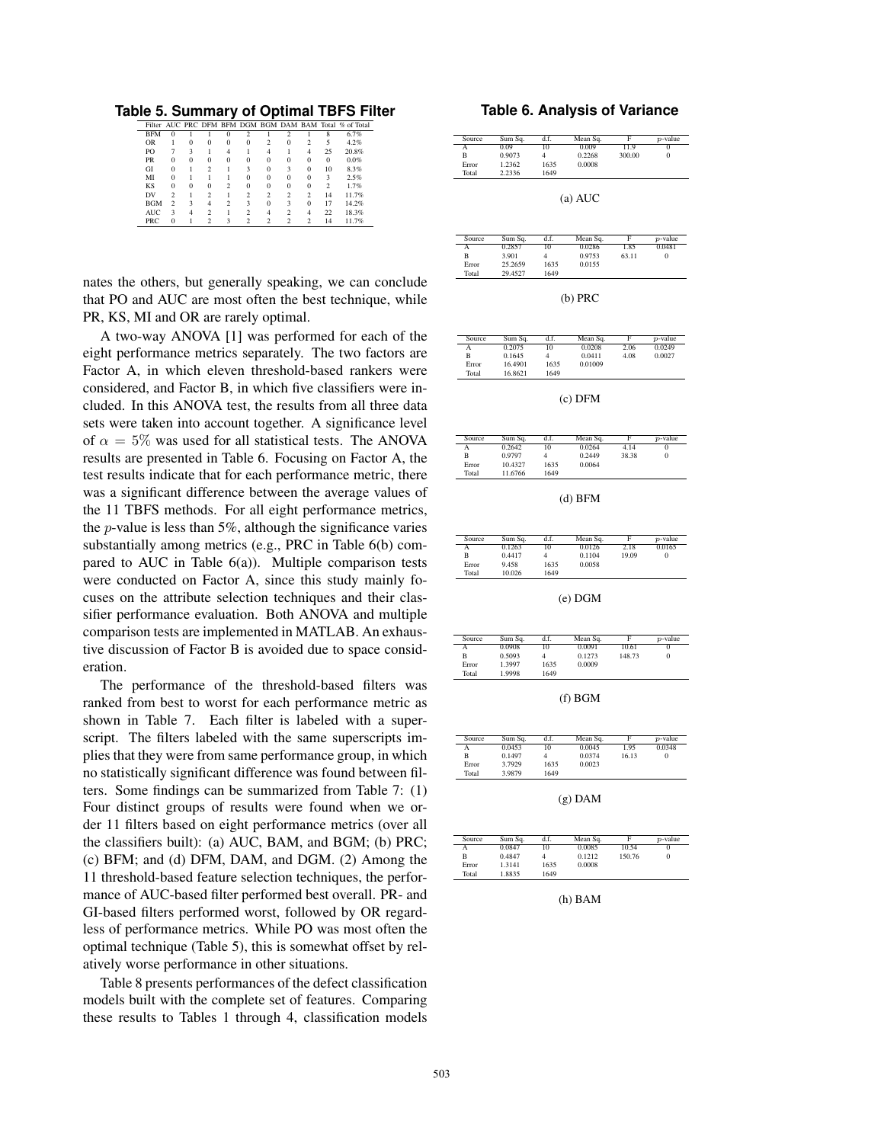**Table 5. Summary of Optimal TBFS Filter**

|            |               |          |          |          |                |                |          |                |                | Filter AUC PRC DFM BFM DGM BGM DAM BAM Total % of Total |
|------------|---------------|----------|----------|----------|----------------|----------------|----------|----------------|----------------|---------------------------------------------------------|
| <b>BFM</b> | $\Omega$      |          |          | 0        | $\mathfrak{D}$ |                | 2        |                | 8              | 6.7%                                                    |
| <b>OR</b>  |               | 0        | $\Omega$ | $\Omega$ | 0              | $\mathfrak{D}$ | $\Omega$ | $\mathfrak{D}$ | 5              | 4.2%                                                    |
| PO         |               | 3        |          | 4        |                | 4              |          | 4              | 25             | 20.8%                                                   |
| PR         | $\Omega$      | $\Omega$ | $\Omega$ | $\Omega$ | 0              | $\Omega$       | $\Omega$ | $\Omega$       | $\Omega$       | 0.0%                                                    |
| GI         | $\Omega$      |          | 2        |          | 3              | $\Omega$       | 3        | $\Omega$       | 10             | 8.3%                                                    |
| MI         | $\Omega$      |          |          |          | 0              | $\Omega$       | $\Omega$ | $\Omega$       | 3              | 2.5%                                                    |
| KS         | $\Omega$      | $\Omega$ | $\Omega$ | C        | $\Omega$       | $\Omega$       | $\Omega$ | $\Omega$       | $\mathfrak{D}$ | 1.7%                                                    |
| DV         | $\mathcal{D}$ |          | C        |          | 2              | C              | 2        | 2              | 14             | 11.7%                                                   |
| <b>BGM</b> | 2             | 3        | 4        | C        | 3              | $\Omega$       | 3        | $\Omega$       | 17             | 14.2%                                                   |
| <b>AUC</b> | з             |          | C        |          | $\mathcal{D}$  | 4              | 2        | $\overline{4}$ | 22             | 18.3%                                                   |
| PRC        | $\Omega$      |          | റ        |          |                | ◠              | C        | $\mathfrak{D}$ | 14             | 11.7%                                                   |

nates the others, but generally speaking, we can conclude that PO and AUC are most often the best technique, while PR, KS, MI and OR are rarely optimal.

A two-way ANOVA [1] was performed for each of the eight performance metrics separately. The two factors are Factor A, in which eleven threshold-based rankers were considered, and Factor B, in which five classifiers were included. In this ANOVA test, the results from all three data sets were taken into account together. A significance level of  $\alpha = 5\%$  was used for all statistical tests. The ANOVA results are presented in Table 6. Focusing on Factor A, the test results indicate that for each performance metric, there was a significant difference between the average values of the 11 TBFS methods. For all eight performance metrics, the  $p$ -value is less than 5%, although the significance varies substantially among metrics (e.g., PRC in Table 6(b) compared to AUC in Table  $6(a)$ ). Multiple comparison tests were conducted on Factor A, since this study mainly focuses on the attribute selection techniques and their classifier performance evaluation. Both ANOVA and multiple comparison tests are implemented in MATLAB. An exhaustive discussion of Factor B is avoided due to space consideration.

The performance of the threshold-based filters was ranked from best to worst for each performance metric as shown in Table 7. Each filter is labeled with a superscript. The filters labeled with the same superscripts implies that they were from same performance group, in which no statistically significant difference was found between filters. Some findings can be summarized from Table 7: (1) Four distinct groups of results were found when we order 11 filters based on eight performance metrics (over all the classifiers built): (a) AUC, BAM, and BGM; (b) PRC; (c) BFM; and (d) DFM, DAM, and DGM. (2) Among the 11 threshold-based feature selection techniques, the performance of AUC-based filter performed best overall. PR- and GI-based filters performed worst, followed by OR regardless of performance metrics. While PO was most often the optimal technique (Table 5), this is somewhat offset by relatively worse performance in other situations.

Table 8 presents performances of the defect classification models built with the complete set of features. Comparing these results to Tables 1 through 4, classification models

#### **Table 6. Analysis of Variance**

| Source | Sum Sq. | d.f. | Mean Sq. | F      | $p$ -value |
|--------|---------|------|----------|--------|------------|
|        | 0.09    | 10   | 0.009    | 11.9   |            |
| B      | 0.9073  |      | 0.2268   | 300.00 |            |
| Error  | 1.2362  | 1635 | 0.0008   |        |            |
| Total  | 2.2336  | 1649 |          |        |            |

(a) AUC

| Source | Sum Sq. | d.f. | Mean Sq. |       | $p$ -value |
|--------|---------|------|----------|-------|------------|
|        | 0.2857  | 10   | 0.0286   | 1.85  | 0.0481     |
| в      | 3.901   |      | 0.9753   | 63.11 |            |
| Error  | 25.2659 | 1635 | 0.0155   |       |            |
| Total  | 29.4527 | 1649 |          |       |            |

| ٠ |  |
|---|--|
|---|--|

| Source | Sum Sq. | d.f. | Mean Sq. |      | $p$ -value |
|--------|---------|------|----------|------|------------|
|        | 0.2075  | 10   | 0.0208   | 2.06 | 0.0249     |
| B      | 0.1645  |      | 0.0411   | 4.08 | 0.0027     |
| Error  | 16.4901 | 1635 | 0.01009  |      |            |
| Total  | 16.8621 | 1649 |          |      |            |

(c) DFM

| Source | Sum Sq. | d.f. | Mean Sq. | Е     | $p$ -value |
|--------|---------|------|----------|-------|------------|
| А      | 0.2642  | 10   | 0.0264   | 4.14  |            |
| В      | 0.9797  |      | 0.2449   | 38.38 |            |
| Error  | 10.4327 | 1635 | 0.0064   |       |            |
| Total  | 11.6766 | 1649 |          |       |            |

(d) BFM

| Source | Sum Sa. | d.f. | Mean Sq. |       | $p$ -value |
|--------|---------|------|----------|-------|------------|
|        | 0.1263  | 10   | 0.0126   | 2.18  | 0.0165     |
| в      | 0.4417  |      | 0.1104   | 19.09 |            |
| Error  | 9.458   | 1635 | 0.0058   |       |            |
| Total  | 10.026  | 1649 |          |       |            |

(e) DGM

| Source | Sum Sq. | d.f. | Mean Sq. | Е      | $p$ -value |  |
|--------|---------|------|----------|--------|------------|--|
| А      | 0.0908  | 10   | 0.0091   | 10.61  | 0          |  |
| B      | 0.5093  |      | 0.1273   | 148.73 | 0          |  |
| Error  | 1.3997  | 1635 | 0.0009   |        |            |  |
| Total  | 1.9998  | 1649 |          |        |            |  |

(f) BGM

| Source | Sum Sq. | d.f. | Mean Sq. |       | $p$ -value |  |  |
|--------|---------|------|----------|-------|------------|--|--|
| А      | 0.0453  | 10   | 0.0045   | 1.95  | 0.0348     |  |  |
| B      | 0.1497  |      | 0.0374   | 16.13 |            |  |  |
| Error  | 3.7929  | 1635 | 0.0023   |       |            |  |  |
| Total  | 3.9879  | 1649 |          |       |            |  |  |

(g) DAM

| Source | Sum Sq. | d.f. | Mean Sq. | Е      | $p$ -value |
|--------|---------|------|----------|--------|------------|
| А      | 0.0847  | 10   | 0.0085   | 10.54  |            |
| B      | 0.4847  |      | 0.1212   | 150.76 |            |
| Error  | 1.3141  | 1635 | 0.0008   |        |            |
| Total  | 1.8835  | 1649 |          |        |            |

(h) BAM